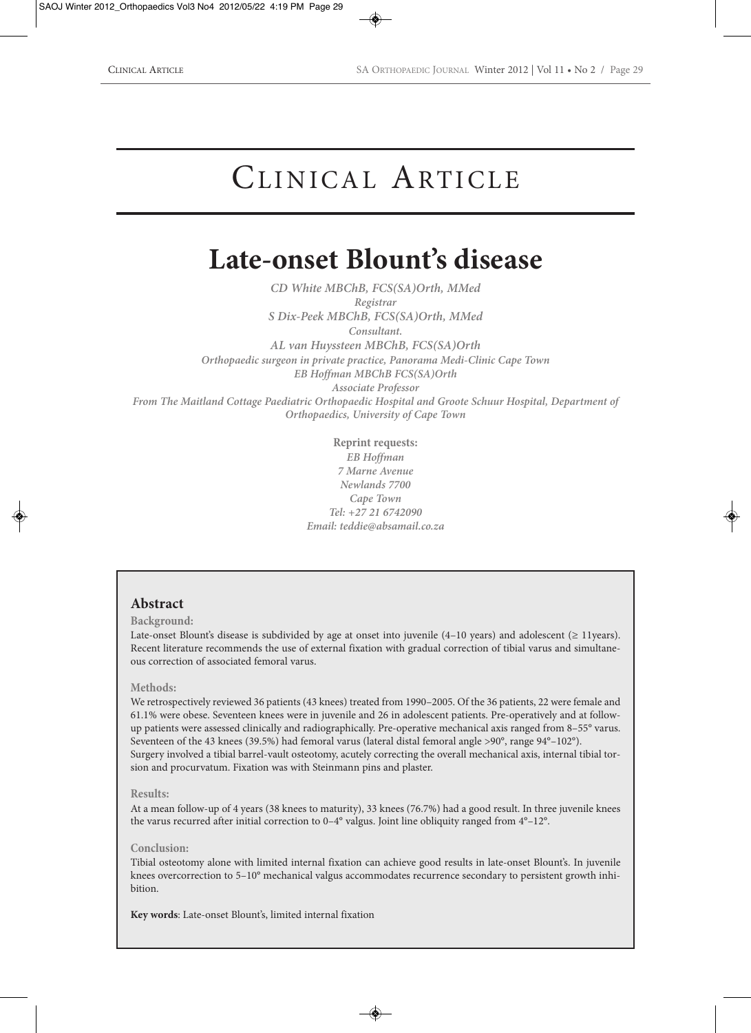# CLINICAL ARTICLE

## **Late-onset Blount's disease**

*CD White MBChB, FCS(SA)Orth, MMed Registrar S Dix-Peek MBChB, FCS(SA)Orth, MMed Consultant. AL van Huyssteen MBChB, FCS(SA)Orth Orthopaedic surgeon in private practice, Panorama Medi-Clinic Cape Town EB Hoffman MBChB FCS(SA)Orth Associate Professor From The Maitland Cottage Paediatric Orthopaedic Hospital and Groote Schuur Hospital, Department of Orthopaedics, University of Cape Town*

> **Reprint requests:** *EB Hoffman 7 Marne Avenue Newlands 7700 Cape Town Tel: +27 21 6742090 Email: teddie@absamail.co.za*

## **Abstract**

#### **Background:**

Late-onset Blount's disease is subdivided by age at onset into juvenile (4–10 years) and adolescent (≥ 11years). Recent literature recommends the use of external fixation with gradual correction of tibial varus and simultaneous correction of associated femoral varus.

#### **Methods:**

We retrospectively reviewed 36 patients (43 knees) treated from 1990–2005. Of the 36 patients, 22 were female and 61.1% were obese. Seventeen knees were in juvenile and 26 in adolescent patients. Pre-operatively and at followup patients were assessed clinically and radiographically. Pre-operative mechanical axis ranged from 8–55° varus. Seventeen of the 43 knees (39.5%) had femoral varus (lateral distal femoral angle >90°, range 94°–102°). Surgery involved a tibial barrel-vault osteotomy, acutely correcting the overall mechanical axis, internal tibial torsion and procurvatum. Fixation was with Steinmann pins and plaster.

#### **Results:**

At a mean follow-up of 4 years (38 knees to maturity), 33 knees (76.7%) had a good result. In three juvenile knees the varus recurred after initial correction to 0–4° valgus. Joint line obliquity ranged from 4°–12°.

#### **Conclusion:**

Tibial osteotomy alone with limited internal fixation can achieve good results in late-onset Blount's. In juvenile knees overcorrection to 5–10° mechanical valgus accommodates recurrence secondary to persistent growth inhibition.

**Key words**: Late-onset Blount's, limited internal fixation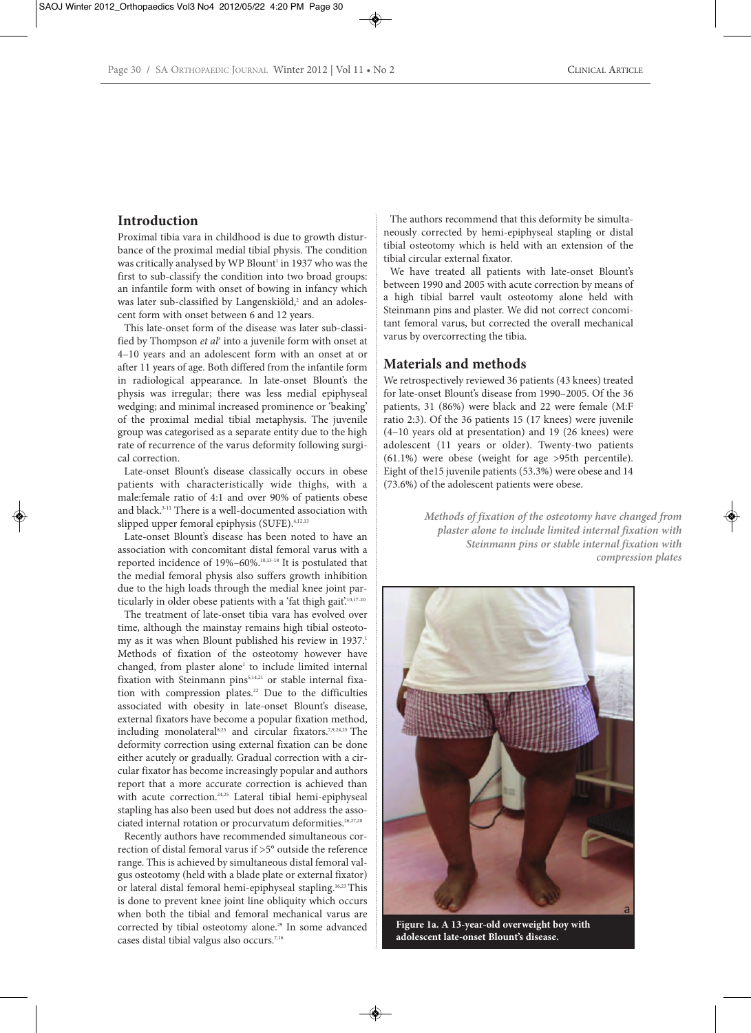## **Introduction**

Proximal tibia vara in childhood is due to growth disturbance of the proximal medial tibial physis. The condition was critically analysed by WP Blount<sup>1</sup> in 1937 who was the first to sub-classify the condition into two broad groups: an infantile form with onset of bowing in infancy which was later sub-classified by Langenskiöld,<sup>2</sup> and an adolescent form with onset between 6 and 12 years.

This late-onset form of the disease was later sub-classified by Thompson *et al*<sup>3</sup> into a juvenile form with onset at 4–10 years and an adolescent form with an onset at or after 11 years of age. Both differed from the infantile form in radiological appearance. In late-onset Blount's the physis was irregular; there was less medial epiphyseal wedging; and minimal increased prominence or 'beaking' of the proximal medial tibial metaphysis. The juvenile group was categorised as a separate entity due to the high rate of recurrence of the varus deformity following surgical correction.

Late-onset Blount's disease classically occurs in obese patients with characteristically wide thighs, with a male:female ratio of 4:1 and over 90% of patients obese and black.<sup>3-11</sup> There is a well-documented association with slipped upper femoral epiphysis (SUFE).<sup>4,12,13</sup>

Late-onset Blount's disease has been noted to have an association with concomitant distal femoral varus with a reported incidence of 19%–60%.10,13-18 It is postulated that the medial femoral physis also suffers growth inhibition due to the high loads through the medial knee joint particularly in older obese patients with a 'fat thigh gait'.<sup>10,17-20</sup>

The treatment of late-onset tibia vara has evolved over time, although the mainstay remains high tibial osteotomy as it was when Blount published his review in 1937.1 Methods of fixation of the osteotomy however have changed, from plaster alone<sup>1</sup> to include limited internal fixation with Steinmann pins<sup>5,14,21</sup> or stable internal fixation with compression plates.<sup>22</sup> Due to the difficulties associated with obesity in late-onset Blount's disease, external fixators have become a popular fixation method, including monolateral8,23 and circular fixators.7,9,24,25 The deformity correction using external fixation can be done either acutely or gradually. Gradual correction with a circular fixator has become increasingly popular and authors report that a more accurate correction is achieved than with acute correction.<sup>24,25</sup> Lateral tibial hemi-epiphyseal stapling has also been used but does not address the associated internal rotation or procurvatum deformities.26,27,28

Recently authors have recommended simultaneous correction of distal femoral varus if >5° outside the reference range. This is achieved by simultaneous distal femoral valgus osteotomy (held with a blade plate or external fixator) or lateral distal femoral hemi-epiphyseal stapling.16,23 This is done to prevent knee joint line obliquity which occurs when both the tibial and femoral mechanical varus are corrected by tibial osteotomy alone.<sup>29</sup> In some advanced cases distal tibial valgus also occurs.7,16

The authors recommend that this deformity be simultaneously corrected by hemi-epiphyseal stapling or distal tibial osteotomy which is held with an extension of the tibial circular external fixator.

We have treated all patients with late-onset Blount's between 1990 and 2005 with acute correction by means of a high tibial barrel vault osteotomy alone held with Steinmann pins and plaster. We did not correct concomitant femoral varus, but corrected the overall mechanical varus by overcorrecting the tibia.

### **Materials and methods**

We retrospectively reviewed 36 patients (43 knees) treated for late-onset Blount's disease from 1990–2005. Of the 36 patients, 31 (86%) were black and 22 were female (M:F ratio 2:3). Of the 36 patients 15 (17 knees) were juvenile (4–10 years old at presentation) and 19 (26 knees) were adolescent (11 years or older). Twenty-two patients (61.1%) were obese (weight for age >95th percentile). Eight of the15 juvenile patients (53.3%) were obese and 14 (73.6%) of the adolescent patients were obese.

> *Methods of fixation of the osteotomy have changed from plaster alone to include limited internal fixation with Steinmann pins or stable internal fixation with compression plates*



**Figure 1a. A 13-year-old overweight boy with adolescent late-onset Blount's disease.**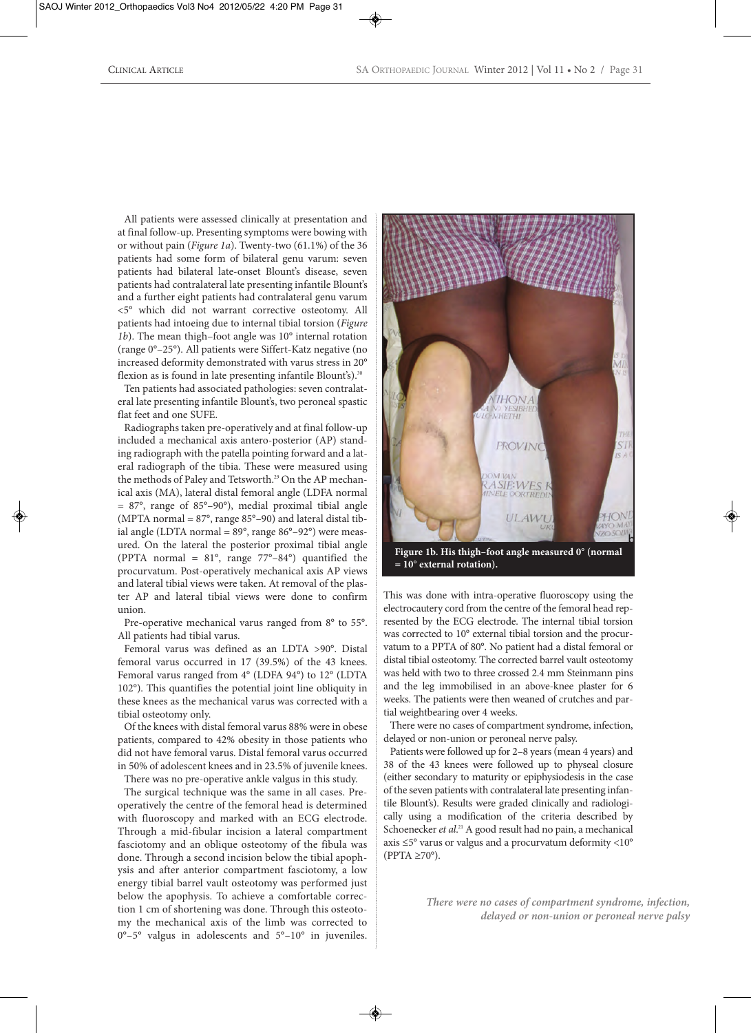All patients were assessed clinically at presentation and at final follow-up. Presenting symptoms were bowing with or without pain (*Figure 1a*). Twenty-two (61.1%) of the 36 patients had some form of bilateral genu varum: seven patients had bilateral late-onset Blount's disease, seven patients had contralateral late presenting infantile Blount's and a further eight patients had contralateral genu varum <5° which did not warrant corrective osteotomy. All patients had intoeing due to internal tibial torsion (*Figure 1b*). The mean thigh–foot angle was 10° internal rotation (range 0°–25°). All patients were Siffert-Katz negative (no increased deformity demonstrated with varus stress in 20° flexion as is found in late presenting infantile Blount's).<sup>30</sup>

Ten patients had associated pathologies: seven contralateral late presenting infantile Blount's, two peroneal spastic flat feet and one SUFE.

Radiographs taken pre-operatively and at final follow-up included a mechanical axis antero-posterior (AP) standing radiograph with the patella pointing forward and a lateral radiograph of the tibia. These were measured using the methods of Paley and Tetsworth.<sup>29</sup> On the AP mechanical axis (MA), lateral distal femoral angle (LDFA normal = 87°, range of 85°–90°), medial proximal tibial angle (MPTA normal =  $87^\circ$ , range  $85^\circ$ –90) and lateral distal tibial angle (LDTA normal =  $89^\circ$ , range  $86^\circ$ – $92^\circ$ ) were measured. On the lateral the posterior proximal tibial angle (PPTA normal =  $81^\circ$ , range  $77^\circ - 84^\circ$ ) quantified the procurvatum. Post-operatively mechanical axis AP views and lateral tibial views were taken. At removal of the plaster AP and lateral tibial views were done to confirm union.

Pre-operative mechanical varus ranged from 8° to 55°. All patients had tibial varus.

Femoral varus was defined as an LDTA >90°. Distal femoral varus occurred in 17 (39.5%) of the 43 knees. Femoral varus ranged from 4° (LDFA 94°) to 12° (LDTA 102°). This quantifies the potential joint line obliquity in these knees as the mechanical varus was corrected with a tibial osteotomy only.

Of the knees with distal femoral varus 88% were in obese patients, compared to 42% obesity in those patients who did not have femoral varus. Distal femoral varus occurred in 50% of adolescent knees and in 23.5% of juvenile knees. There was no pre-operative ankle valgus in this study.

The surgical technique was the same in all cases. Preoperatively the centre of the femoral head is determined with fluoroscopy and marked with an ECG electrode. Through a mid-fibular incision a lateral compartment fasciotomy and an oblique osteotomy of the fibula was done. Through a second incision below the tibial apophysis and after anterior compartment fasciotomy, a low energy tibial barrel vault osteotomy was performed just below the apophysis. To achieve a comfortable correction 1 cm of shortening was done. Through this osteotomy the mechanical axis of the limb was corrected to 0°–5° valgus in adolescents and 5°–10° in juveniles.



**Figure 1b. His thigh –foot angle measured 0° (normal = 10° external rotation).**

This was done with intra-operative fluoroscopy using the electrocautery cord from the centre of the femoral head represented by the ECG electrode. The internal tibial torsion was corrected to 10° external tibial torsion and the procurvatum to a PPTA of 80°. No patient had a distal femoral or distal tibial osteotomy. The corrected barrel vault osteotomy was held with two to three crossed 2.4 mm Steinmann pins and the leg immobilised in an above-knee plaster for 6 weeks. The patients were then weaned of crutches and partial weightbearing over 4 weeks.

There were no cases of compartment syndrome, infection, delayed or non-union or peroneal nerve palsy.

Patients were followed up for 2–8 years (mean 4 years) and 38 of the 43 knees were followed up to physeal closure (either secondary to maturity or epiphysiodesis in the case of the seven patients with contralateral late presenting infantile Blount's). Results were graded clinically and radiologically using a modification of the criteria described by Schoenecker *et al*. <sup>21</sup> A good result had no pain, a mechanical axis ≤5° varus or valgus and a procurvatum deformity <10°  $(PPTA \geq 70^{\circ}).$ 

> *There were no cases of compartment syndrome, infection, delayed or non-union or peroneal nerve palsy*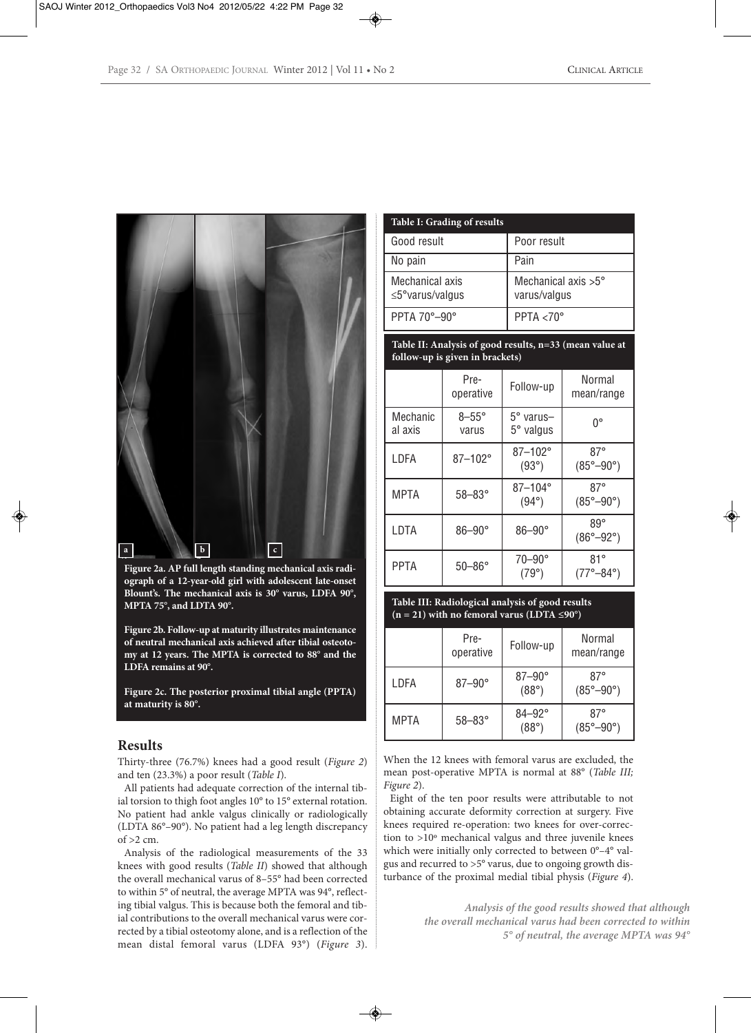

**Figure 2a. AP full length standing mechanical axis radiograph of a 12-year-old girl with adolescent late-onset Blount's. The mechanical axis is 30° varus, LDFA 90°, MPTA 75°, and LDTA 90°.**

**Figure 2b. Follow-up at maturity illustrates maintenance of neutral mechanical axis achieved after tibial osteotomy at 12 years. The MPTA is corrected to 88° and the LDFA remains at 90°.**

**Figure 2c. The posterior proximal tibial angle (PPTA) at maturity is 80°.**

#### **Results**

Thirty-three (76.7%) knees had a good result (*Figure 2*) and ten (23.3%) a poor result (*Table I*).

All patients had adequate correction of the internal tibial torsion to thigh foot angles 10° to 15° external rotation. No patient had ankle valgus clinically or radiologically (LDTA 86°–90°). No patient had a leg length discrepancy of >2 cm.

Analysis of the radiological measurements of the 33 knees with good results (*Table II*) showed that although the overall mechanical varus of 8–55° had been corrected to within 5° of neutral, the average MPTA was 94°, reflecting tibial valgus. This is because both the femoral and tibial contributions to the overall mechanical varus were corrected by a tibial osteotomy alone, and is a reflection of the mean distal femoral varus (LDFA 93°) (*Figure 3*).

| Table I: Grading of results               |                                              |  |  |
|-------------------------------------------|----------------------------------------------|--|--|
| Good result                               | Poor result                                  |  |  |
| No pain                                   | Pain                                         |  |  |
| Mechanical axis<br>$\leq$ 5° varus/valgus | Mechanical axis $>5^{\circ}$<br>varus/valgus |  |  |
| PPTA 70°-90°                              | PPTA $<$ 70 $^{\circ}$                       |  |  |

#### **Table II: Analysis of good results, n=33 (mean value at follow-up is given in brackets)**

|                     | Pre-<br>operative     | Follow-up                     | Normal<br>mean/range                      |
|---------------------|-----------------------|-------------------------------|-------------------------------------------|
| Mechanic<br>al axis | $8-55^\circ$<br>varus | 5° varus-<br>$5^\circ$ valgus | U.                                        |
| LDFA                | 87-102°               | 87-102°<br>$(93^\circ)$       | $87^\circ$<br>$(85^{\circ} - 90^{\circ})$ |
| <b>MPTA</b>         | $58 - 83^\circ$       | 87-104°<br>$(94^{\circ})$     | $87^\circ$<br>$(85^{\circ}-90^{\circ})$   |
| LDTA                | $86 - 90^\circ$       | $86 - 90^\circ$               | $89^\circ$<br>$(86^{\circ}-92^{\circ})$   |
| <b>PPTA</b>         | $50 - 86^\circ$       | $70 - 90^\circ$<br>(79°)      | 81°<br>$(77^{\circ}-84^{\circ})$          |

#### **Table III: Radiological analysis of good results (n = 21) with no femoral varus (LDTA ≤90°)**

|             | Pre-<br>operative | Follow-up                     | Normal<br>mean/range                      |
|-------------|-------------------|-------------------------------|-------------------------------------------|
| I DFA       | $87 - 90^\circ$   | $87-90^\circ$<br>$(88^\circ)$ | $87^\circ$<br>$(85^{\circ}-90^{\circ})$   |
| <b>MPTA</b> | $58 - 83^\circ$   | $84 - 92^\circ$<br>(88°)      | $87^\circ$<br>$(85^{\circ} - 90^{\circ})$ |

When the 12 knees with femoral varus are excluded, the mean post-operative MPTA is normal at 88° (*Table III; Figure 2*).

Eight of the ten poor results were attributable to not obtaining accurate deformity correction at surgery. Five knees required re-operation: two knees for over-correction to >10º mechanical valgus and three juvenile knees which were initially only corrected to between 0°–4° valgus and recurred to >5° varus, due to ongoing growth disturbance of the proximal medial tibial physis (*Figure 4*).

> *Analysis of the good results showed that although the overall mechanical varus had been corrected to within 5° of neutral, the average MPTA was 94°*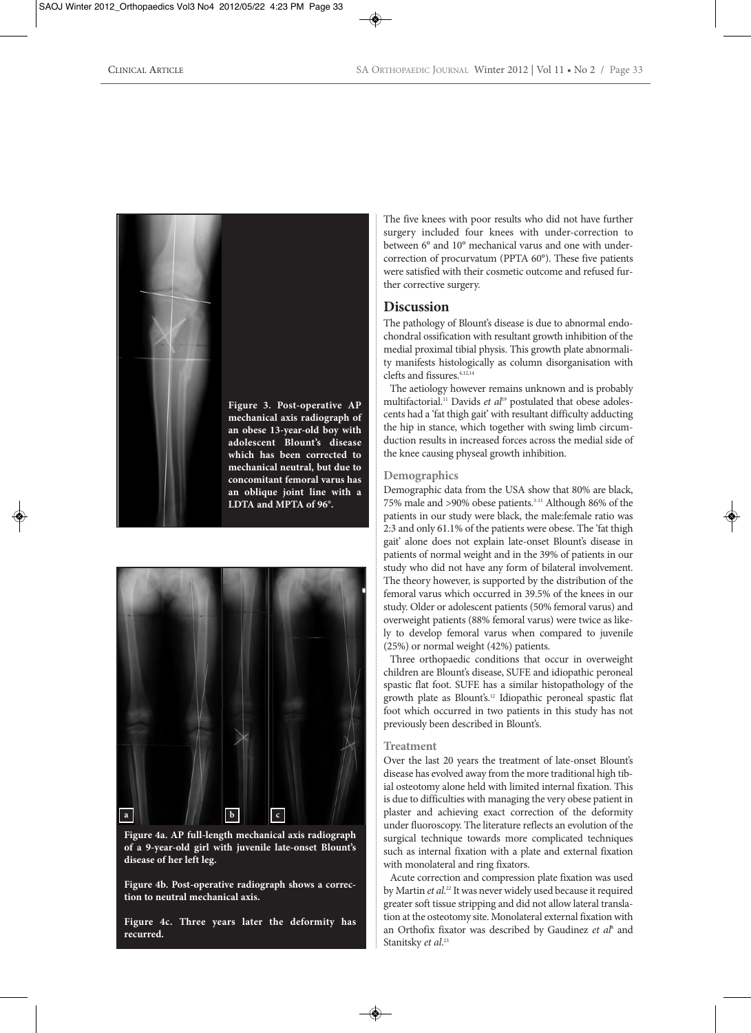



**Figure 4a. AP full-length mechanical axis radiograph of a 9-year-old girl with juvenile late-onset Blount's disease of her left leg.**

**Figure 4b. Post-operative radiograph shows a correction to neutral mechanical axis.**

**Figure 4c. Three years later the deformity has recurred.**

The five knees with poor results who did not have further surgery included four knees with under-correction to between 6° and 10° mechanical varus and one with undercorrection of procurvatum (PPTA 60°). These five patients were satisfied with their cosmetic outcome and refused further corrective surgery.

## **Discussion**

The pathology of Blount's disease is due to abnormal endochondral ossification with resultant growth inhibition of the medial proximal tibial physis. This growth plate abnormality manifests histologically as column disorganisation with clefts and fissures.4,12,14

The aetiology however remains unknown and is probably multifactorial.<sup>11</sup> Davids et al<sup>19</sup> postulated that obese adolescents had a 'fat thigh gait' with resultant difficulty adducting the hip in stance, which together with swing limb circumduction results in increased forces across the medial side of the knee causing physeal growth inhibition.

#### **Demographics**

Demographic data from the USA show that 80% are black, 75% male and >90% obese patients.3-11 Although 86% of the patients in our study were black, the male:female ratio was 2:3 and only 61.1% of the patients were obese. The 'fat thigh gait' alone does not explain late-onset Blount's disease in patients of normal weight and in the 39% of patients in our study who did not have any form of bilateral involvement. The theory however, is supported by the distribution of the femoral varus which occurred in 39.5% of the knees in our study. Older or adolescent patients (50% femoral varus) and overweight patients (88% femoral varus) were twice as likely to develop femoral varus when compared to juvenile (25%) or normal weight (42%) patients.

Three orthopaedic conditions that occur in overweight children are Blount's disease, SUFE and idiopathic peroneal spastic flat foot. SUFE has a similar histopathology of the growth plate as Blount's.12 Idiopathic peroneal spastic flat foot which occurred in two patients in this study has not previously been described in Blount's.

#### **Treatment**

Over the last 20 years the treatment of late-onset Blount's disease has evolved away from the more traditional high tibial osteotomy alone held with limited internal fixation. This is due to difficulties with managing the very obese patient in plaster and achieving exact correction of the deformity under fluoroscopy. The literature reflects an evolution of the surgical technique towards more complicated techniques such as internal fixation with a plate and external fixation with monolateral and ring fixators.

Acute correction and compression plate fixation was used by Martin *et al*. <sup>22</sup> It was never widely used because it required greater soft tissue stripping and did not allow lateral translation at the osteotomy site. Monolateral external fixation with an Orthofix fixator was described by Gaudinez *et al*<sup>8</sup> and Stanitsky *et al*. 23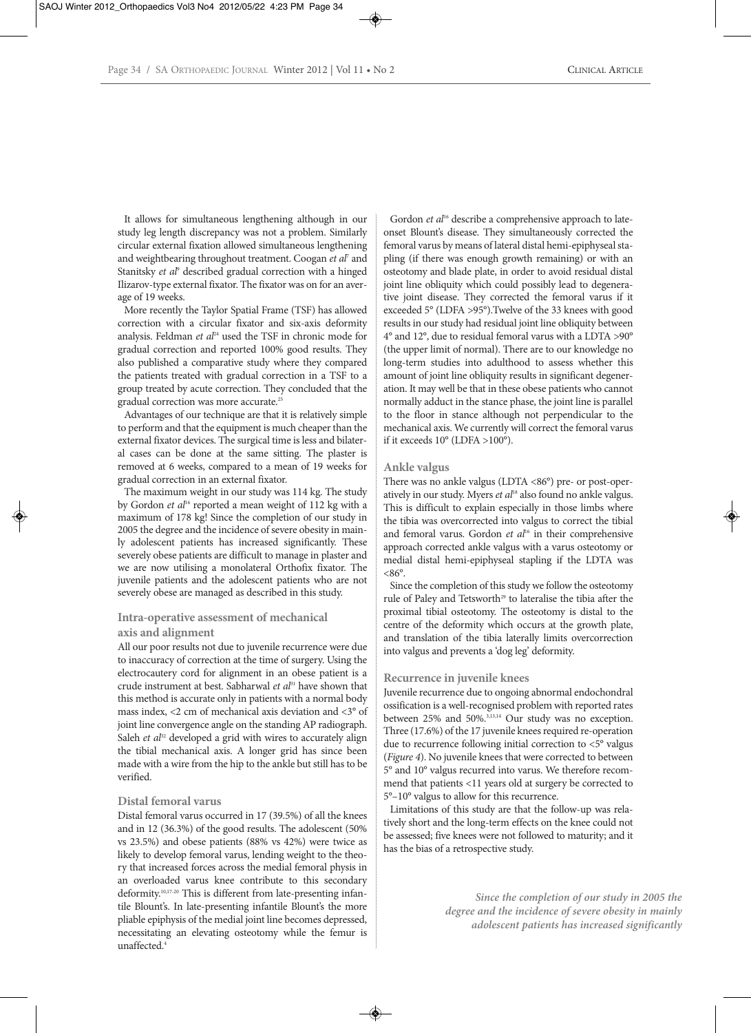It allows for simultaneous lengthening although in our study leg length discrepancy was not a problem. Similarly circular external fixation allowed simultaneous lengthening and weightbearing throughout treatment. Coogan *et al*<sup>7</sup> and Stanitsky *et al<sup>9</sup>* described gradual correction with a hinged Ilizarov-type external fixator. The fixator was on for an average of 19 weeks.

More recently the Taylor Spatial Frame (TSF) has allowed correction with a circular fixator and six-axis deformity analysis. Feldman *et al*<sup>24</sup> used the TSF in chronic mode for gradual correction and reported 100% good results. They also published a comparative study where they compared the patients treated with gradual correction in a TSF to a group treated by acute correction. They concluded that the gradual correction was more accurate.<sup>21</sup>

Advantages of our technique are that it is relatively simple to perform and that the equipment is much cheaper than the external fixator devices. The surgical time is less and bilateral cases can be done at the same sitting. The plaster is removed at 6 weeks, compared to a mean of 19 weeks for gradual correction in an external fixator.

The maximum weight in our study was 114 kg. The study by Gordon et al<sup>16</sup> reported a mean weight of 112 kg with a maximum of 178 kg! Since the completion of our study in 2005 the degree and the incidence of severe obesity in mainly adolescent patients has increased significantly. These severely obese patients are difficult to manage in plaster and we are now utilising a monolateral Orthofix fixator. The juvenile patients and the adolescent patients who are not severely obese are managed as described in this study.

#### **Intra-operative assessment of mechanical axis and alignment**

All our poor results not due to juvenile recurrence were due to inaccuracy of correction at the time of surgery. Using the electrocautery cord for alignment in an obese patient is a crude instrument at best. Sabharwal *et al*<sup>31</sup> have shown that this method is accurate only in patients with a normal body mass index, <2 cm of mechanical axis deviation and <3° of joint line convergence angle on the standing AP radiograph. Saleh *et al*<sup>32</sup> developed a grid with wires to accurately align the tibial mechanical axis. A longer grid has since been made with a wire from the hip to the ankle but still has to be verified.

#### **Distal femoral varus**

Distal femoral varus occurred in 17 (39.5%) of all the knees and in 12 (36.3%) of the good results. The adolescent (50% vs 23.5%) and obese patients (88% vs 42%) were twice as likely to develop femoral varus, lending weight to the theory that increased forces across the medial femoral physis in an overloaded varus knee contribute to this secondary deformity.<sup>10,17-20</sup> This is different from late-presenting infantile Blount's. In late-presenting infantile Blount's the more pliable epiphysis of the medial joint line becomes depressed, necessitating an elevating osteotomy while the femur is unaffected.4

Gordon *et al*<sup>16</sup> describe a comprehensive approach to lateonset Blount's disease. They simultaneously corrected the femoral varus by means of lateral distal hemi-epiphyseal stapling (if there was enough growth remaining) or with an osteotomy and blade plate, in order to avoid residual distal joint line obliquity which could possibly lead to degenerative joint disease. They corrected the femoral varus if it exceeded 5° (LDFA >95°).Twelve of the 33 knees with good results in our study had residual joint line obliquity between 4° and 12°, due to residual femoral varus with a LDTA >90° (the upper limit of normal). There are to our knowledge no long-term studies into adulthood to assess whether this amount of joint line obliquity results in significant degeneration. It may well be that in these obese patients who cannot normally adduct in the stance phase, the joint line is parallel to the floor in stance although not perpendicular to the mechanical axis. We currently will correct the femoral varus if it exceeds 10° (LDFA >100°).

#### **Ankle valgus**

There was no ankle valgus (LDTA <86°) pre- or post-operatively in our study. Myers *et al*<sup>18</sup> also found no ankle valgus. This is difficult to explain especially in those limbs where the tibia was overcorrected into valgus to correct the tibial and femoral varus. Gordon et al<sup>16</sup> in their comprehensive approach corrected ankle valgus with a varus osteotomy or medial distal hemi-epiphyseal stapling if the LDTA was  $< 86^\circ$ .

Since the completion of this study we follow the osteotomy rule of Paley and Tetsworth<sup>29</sup> to lateralise the tibia after the proximal tibial osteotomy. The osteotomy is distal to the centre of the deformity which occurs at the growth plate, and translation of the tibia laterally limits overcorrection into valgus and prevents a 'dog leg' deformity.

#### **Recurrence in juvenile knees**

Juvenile recurrence due to ongoing abnormal endochondral ossification is a well-recognised problem with reported rates between 25% and 50%.3,13,14 Our study was no exception. Three (17.6%) of the 17 juvenile knees required re-operation due to recurrence following initial correction to <5° valgus (*Figure 4*). No juvenile knees that were corrected to between 5° and 10° valgus recurred into varus. We therefore recommend that patients <11 years old at surgery be corrected to 5°–10° valgus to allow for this recurrence.

Limitations of this study are that the follow-up was relatively short and the long-term effects on the knee could not be assessed; five knees were not followed to maturity; and it has the bias of a retrospective study.

> *Since the completion of our study in 2005 the degree and the incidence of severe obesity in mainly adolescent patients has increased significantly*